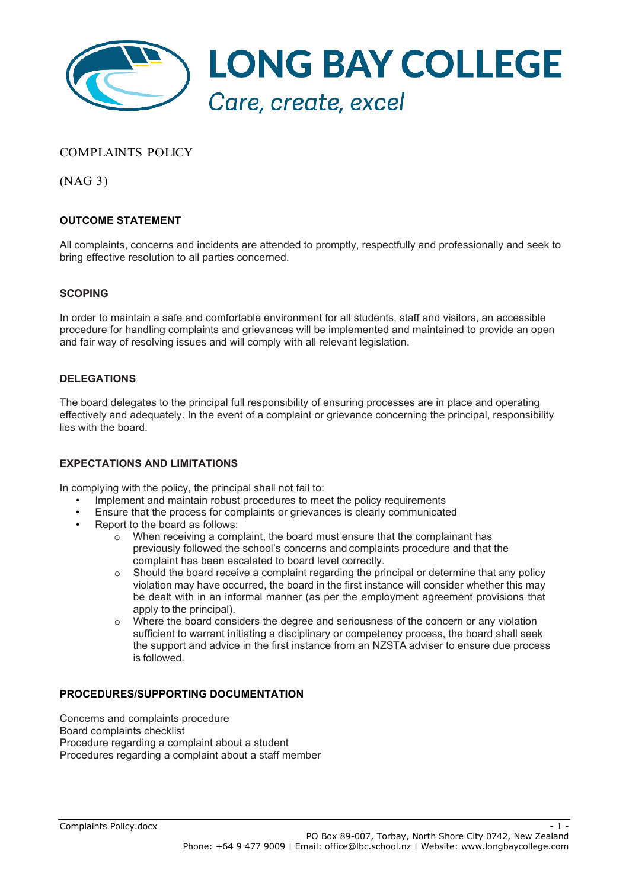

### COMPLAINTS POLICY

(NAG 3)

### **OUTCOME STATEMENT**

All complaints, concerns and incidents are attended to promptly, respectfully and professionally and seek to bring effective resolution to all parties concerned.

#### **SCOPING**

In order to maintain a safe and comfortable environment for all students, staff and visitors, an accessible procedure for handling complaints and grievances will be implemented and maintained to provide an open and fair way of resolving issues and will comply with all relevant legislation.

#### **DELEGATIONS**

The board delegates to the principal full responsibility of ensuring processes are in place and operating effectively and adequately. In the event of a complaint or grievance concerning the principal, responsibility lies with the board.

#### **EXPECTATIONS AND LIMITATIONS**

In complying with the policy, the principal shall not fail to:

- Implement and maintain robust procedures to meet the policy requirements
- Ensure that the process for complaints or grievances is clearly communicated
- Report to the board as follows:
	- $\circ$  When receiving a complaint, the board must ensure that the complainant has previously followed the school's concerns and complaints procedure and that the complaint has been escalated to board level correctly.
	- o Should the board receive a complaint regarding the principal or determine that any policy violation may have occurred, the board in the first instance will consider whether this may be dealt with in an informal manner (as per the employment agreement provisions that apply to the principal).
	- Where the board considers the degree and seriousness of the concern or any violation sufficient to warrant initiating a disciplinary or competency process, the board shall seek the support and advice in the first instance from an NZSTA adviser to ensure due process is followed.

#### **PROCEDURES/SUPPORTING DOCUMENTATION**

Concerns and complaints procedure Board complaints checklist Procedure regarding a complaint about a student Procedures regarding a complaint about a staff member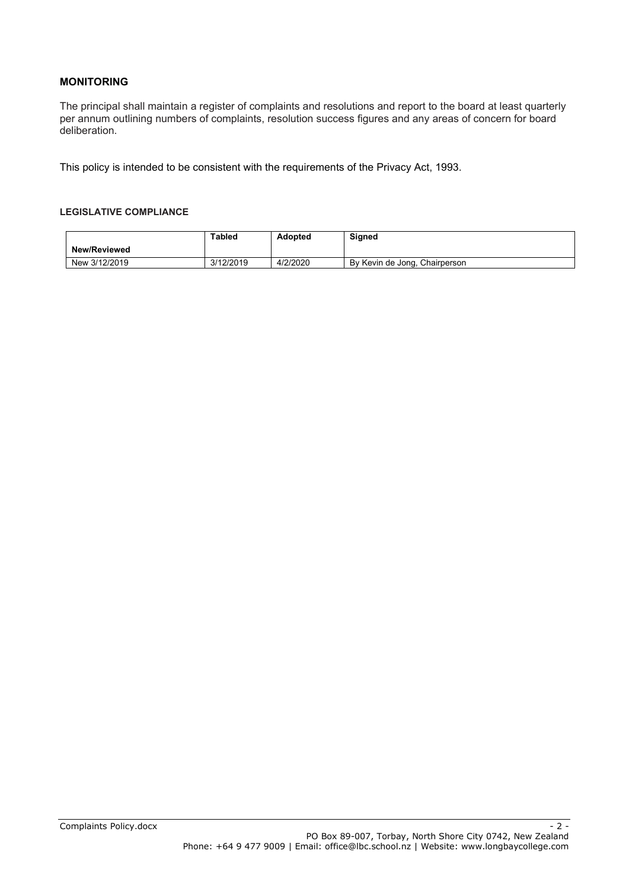### **MONITORING**

The principal shall maintain a register of complaints and resolutions and report to the board at least quarterly per annum outlining numbers of complaints, resolution success figures and any areas of concern for board deliberation.

This policy is intended to be consistent with the requirements of the Privacy Act, 1993.

#### **LEGISLATIVE COMPLIANCE**

|                     | Tabled    | <b>Adopted</b> | Signed                        |
|---------------------|-----------|----------------|-------------------------------|
| <b>New/Reviewed</b> |           |                |                               |
| New 3/12/2019       | 3/12/2019 | 4/2/2020       | By Kevin de Jong, Chairperson |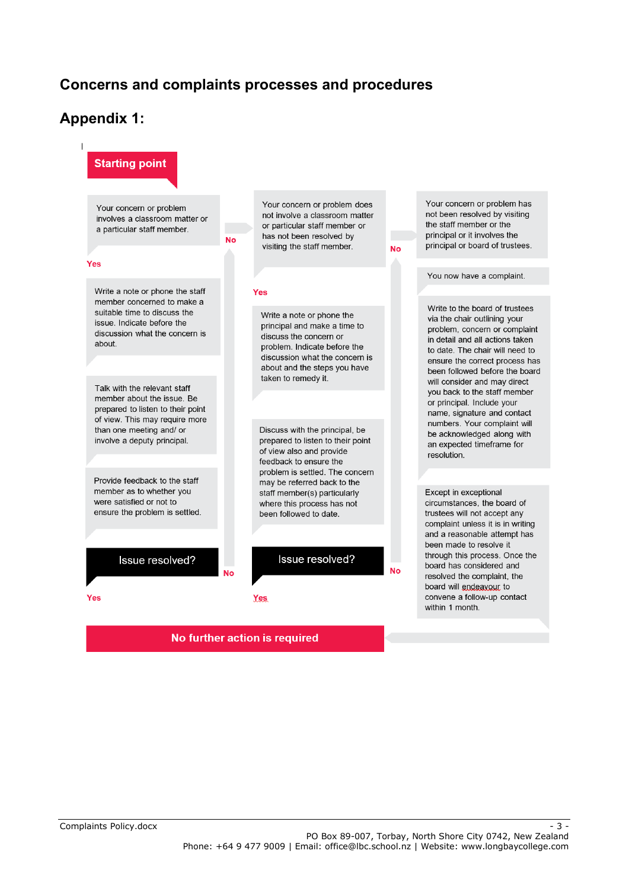## **Concerns and complaints processes and procedures**

### **Appendix 1:**



No further action is required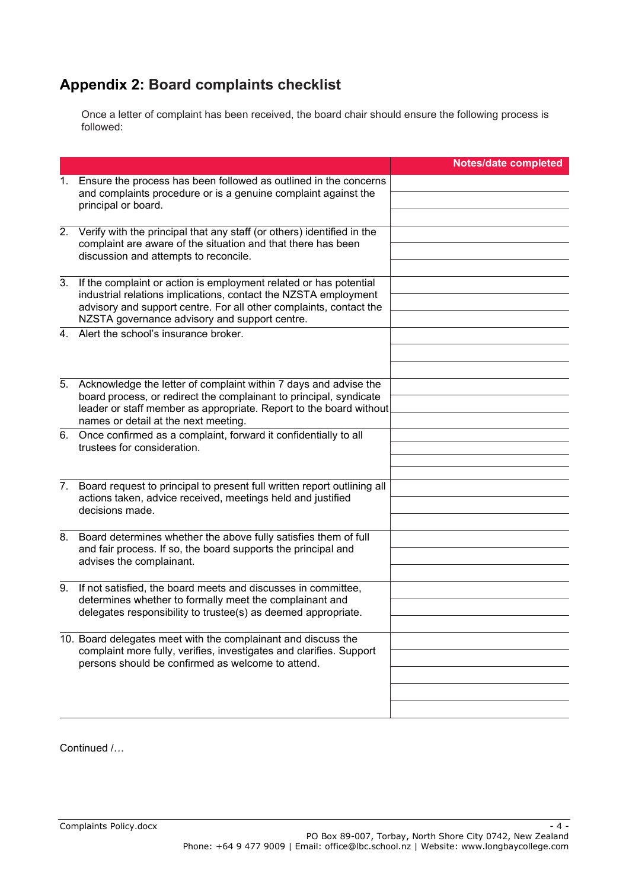# **Appendix 2: Board complaints checklist**

Once a letter of complaint has been received, the board chair should ensure the following process is followed:

|                |                                                                                                                                                                                                                                                             | <b>Notes/date completed</b> |
|----------------|-------------------------------------------------------------------------------------------------------------------------------------------------------------------------------------------------------------------------------------------------------------|-----------------------------|
| 1.             | Ensure the process has been followed as outlined in the concerns<br>and complaints procedure or is a genuine complaint against the<br>principal or board.                                                                                                   |                             |
| 2.             | Verify with the principal that any staff (or others) identified in the<br>complaint are aware of the situation and that there has been<br>discussion and attempts to reconcile.                                                                             |                             |
| 3.             | If the complaint or action is employment related or has potential<br>industrial relations implications, contact the NZSTA employment<br>advisory and support centre. For all other complaints, contact the<br>NZSTA governance advisory and support centre. |                             |
| 4 <sub>1</sub> | Alert the school's insurance broker.                                                                                                                                                                                                                        |                             |
| 5.             | Acknowledge the letter of complaint within 7 days and advise the<br>board process, or redirect the complainant to principal, syndicate<br>leader or staff member as appropriate. Report to the board without<br>names or detail at the next meeting.        |                             |
|                | 6. Once confirmed as a complaint, forward it confidentially to all<br>trustees for consideration.                                                                                                                                                           |                             |
| 7.             | Board request to principal to present full written report outlining all<br>actions taken, advice received, meetings held and justified<br>decisions made.                                                                                                   |                             |
| 8.             | Board determines whether the above fully satisfies them of full<br>and fair process. If so, the board supports the principal and<br>advises the complainant.                                                                                                |                             |
| 9.             | If not satisfied, the board meets and discusses in committee,<br>determines whether to formally meet the complainant and<br>delegates responsibility to trustee(s) as deemed appropriate.                                                                   |                             |
|                | 10. Board delegates meet with the complainant and discuss the<br>complaint more fully, verifies, investigates and clarifies. Support<br>persons should be confirmed as welcome to attend.                                                                   |                             |
|                |                                                                                                                                                                                                                                                             |                             |

Continued /…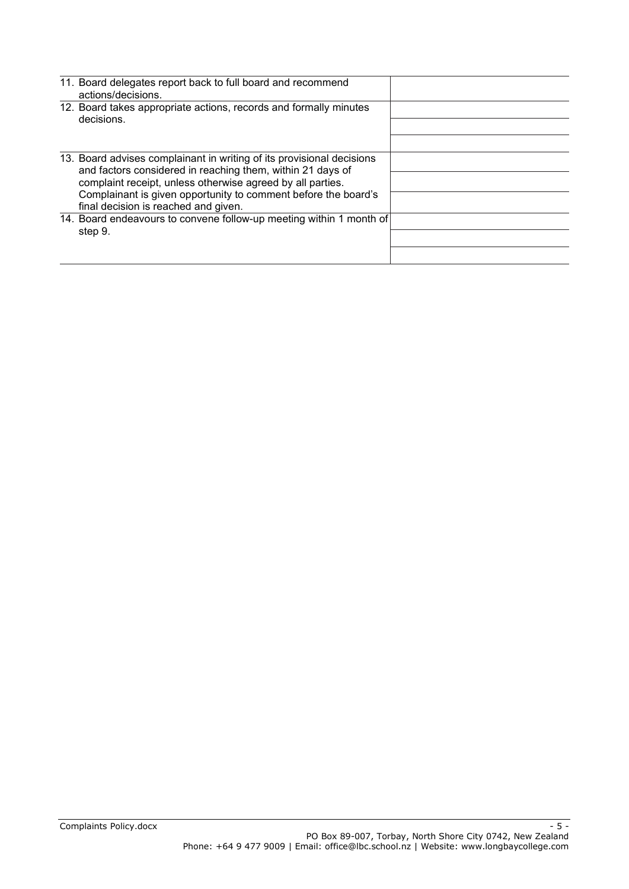|  | 11. Board delegates report back to full board and recommend<br>actions/decisions.                                                   |  |
|--|-------------------------------------------------------------------------------------------------------------------------------------|--|
|  | 12. Board takes appropriate actions, records and formally minutes<br>decisions.                                                     |  |
|  |                                                                                                                                     |  |
|  | 13. Board advises complainant in writing of its provisional decisions<br>and factors considered in reaching them, within 21 days of |  |
|  | complaint receipt, unless otherwise agreed by all parties.                                                                          |  |
|  | Complainant is given opportunity to comment before the board's<br>final decision is reached and given.                              |  |
|  | 14. Board endeavours to convene follow-up meeting within 1 month of                                                                 |  |
|  | step 9.                                                                                                                             |  |
|  |                                                                                                                                     |  |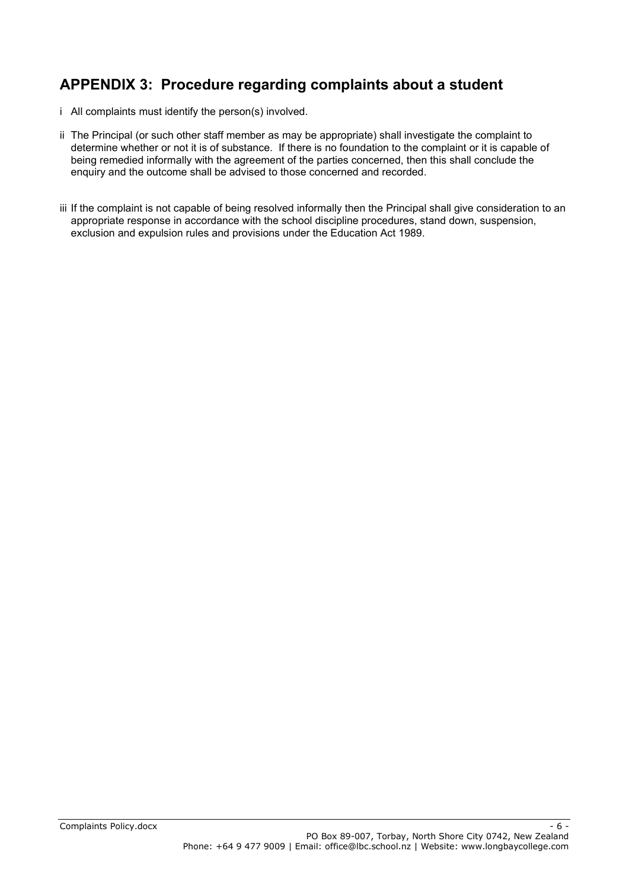# **APPENDIX 3: Procedure regarding complaints about a student**

- i All complaints must identify the person(s) involved.
- ii The Principal (or such other staff member as may be appropriate) shall investigate the complaint to determine whether or not it is of substance. If there is no foundation to the complaint or it is capable of being remedied informally with the agreement of the parties concerned, then this shall conclude the enquiry and the outcome shall be advised to those concerned and recorded.
- iii If the complaint is not capable of being resolved informally then the Principal shall give consideration to an appropriate response in accordance with the school discipline procedures, stand down, suspension, exclusion and expulsion rules and provisions under the Education Act 1989.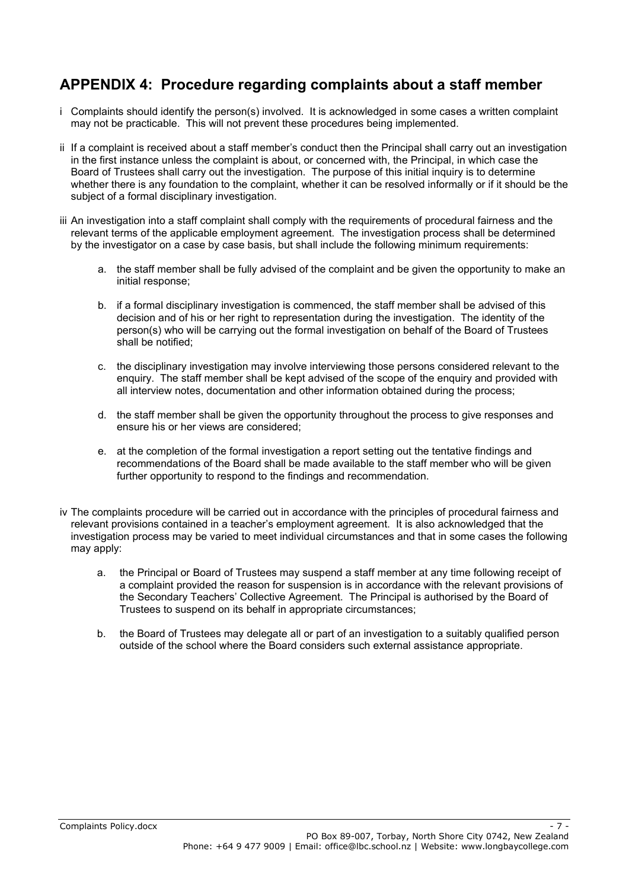### **APPENDIX 4: Procedure regarding complaints about a staff member**

- i Complaints should identify the person(s) involved. It is acknowledged in some cases a written complaint may not be practicable. This will not prevent these procedures being implemented.
- ii If a complaint is received about a staff member's conduct then the Principal shall carry out an investigation in the first instance unless the complaint is about, or concerned with, the Principal, in which case the Board of Trustees shall carry out the investigation. The purpose of this initial inquiry is to determine whether there is any foundation to the complaint, whether it can be resolved informally or if it should be the subiect of a formal disciplinary investigation.
- iii An investigation into a staff complaint shall comply with the requirements of procedural fairness and the relevant terms of the applicable employment agreement. The investigation process shall be determined by the investigator on a case by case basis, but shall include the following minimum requirements:
	- a. the staff member shall be fully advised of the complaint and be given the opportunity to make an initial response;
	- b. if a formal disciplinary investigation is commenced, the staff member shall be advised of this decision and of his or her right to representation during the investigation. The identity of the person(s) who will be carrying out the formal investigation on behalf of the Board of Trustees shall be notified;
	- c. the disciplinary investigation may involve interviewing those persons considered relevant to the enquiry. The staff member shall be kept advised of the scope of the enquiry and provided with all interview notes, documentation and other information obtained during the process;
	- d. the staff member shall be given the opportunity throughout the process to give responses and ensure his or her views are considered;
	- e. at the completion of the formal investigation a report setting out the tentative findings and recommendations of the Board shall be made available to the staff member who will be given further opportunity to respond to the findings and recommendation.
- iv The complaints procedure will be carried out in accordance with the principles of procedural fairness and relevant provisions contained in a teacher's employment agreement. It is also acknowledged that the investigation process may be varied to meet individual circumstances and that in some cases the following may apply:
	- a. the Principal or Board of Trustees may suspend a staff member at any time following receipt of a complaint provided the reason for suspension is in accordance with the relevant provisions of the Secondary Teachers' Collective Agreement. The Principal is authorised by the Board of Trustees to suspend on its behalf in appropriate circumstances;
	- b. the Board of Trustees may delegate all or part of an investigation to a suitably qualified person outside of the school where the Board considers such external assistance appropriate.